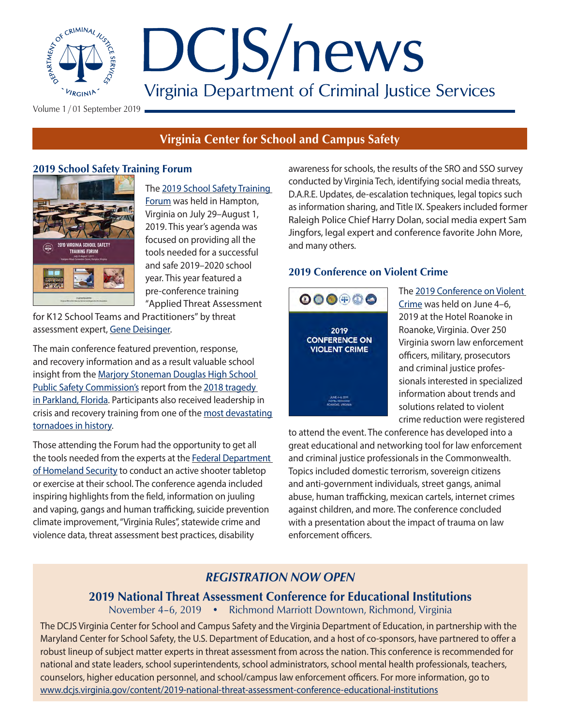

Volume 1 / 01 September 2019

# **Virginia Center for School and Campus Safety**

## **2019 School Safety Training Forum**



[Forum](https://www.dcjs.virginia.gov/content/2019-school-safety-training-forum) was held in Hampton, Virginia on July 29–August 1, 2019. This year's agenda was focused on providing all the

The [2019 School Safety Training](https://www.dcjs.virginia.gov/content/2019-school-safety-training-forum) 

tools needed for a successful and safe 2019–2020 school year. This year featured a pre-conference training ["Applied Threat Assessment](https://www.dcjs.virginia.gov/training-events/2019-school-safety-training-forum-pre-conference-applied-threat-assessment-k12) 

[for K12 School Teams and Practitioners](https://www.dcjs.virginia.gov/training-events/2019-school-safety-training-forum-pre-conference-applied-threat-assessment-k12)" by threat assessment expert, [Gene Deisinger.](https://www.linkedin.com/in/gene-deisinger-02045612/)

The main conference featured prevention, response, and recovery information and as a result valuable school insight from the [Marjory Stoneman Douglas High School](http://www.fdle.state.fl.us/MSDHS/Home.aspx)  [Public Safety Commission's](http://www.fdle.state.fl.us/MSDHS/Home.aspx) report from the 2018 tragedy [in Parkland, Florida.](https://www.nbcnews.com/news/us-news/police-respond-shooting-parkland-florida-high-school-n848101) Participants also received leadership in crisis and recovery training from one of the most devastating [tornadoes in history.](https://en.wikipedia.org/wiki/2011_Joplin_tornado)

Those attending the Forum had the opportunity to get all the tools needed from the experts at the Federal Department [of Homeland Security](https://www.dhs.gov/) to conduct an active shooter tabletop or exercise at their school. The conference agenda included inspiring highlights from the field, information on juuling and vaping, gangs and human trafficking, suicide prevention climate improvement, "Virginia Rules", statewide crime and violence data, threat assessment best practices, disability

awareness for schools, the results of the SRO and SSO survey conducted by Virginia Tech, identifying social media threats, D.A.R.E. Updates, de-escalation techniques, legal topics such as information sharing, and Title IX. Speakers included former Raleigh Police Chief [Harry Dolan](https://www.dolanconsultinggroup.com/about-us/about-our-instructors/), social media expert [Sam](https://saferschoolstogether.com/our-team/sam-jingfors/)  [Jingfors](https://saferschoolstogether.com/our-team/sam-jingfors/), legal expert and conference favorite [John More](https://www.responselaw.com/), and many others.

## **2019 Conference on Violent Crime**



The [2019 Conference on Violent](https://www.dcjs.virginia.gov/content/2019-conference-violent-crime)  [Crime](https://www.dcjs.virginia.gov/content/2019-conference-violent-crime) was held on June 4–6, 2019 at the Hotel Roanoke in Roanoke, Virginia. Over 250 Virginia sworn law enforcement officers, military, prosecutors and criminal justice professionals interested in specialized information about trends and solutions related to violent crime reduction were registered

to attend the event. The conference has developed into a great educational and networking tool for law enforcement and criminal justice professionals in the Commonwealth. Topics included domestic terrorism, sovereign citizens and anti-government individuals, street gangs, animal abuse, human trafficking, mexican cartels, internet crimes against children, and more. The conference concluded with a presentation about the impact of trauma on law enforcement officers.

## *REGISTRATION NOW OPEN*

## **2019 National Threat Assessment Conference for Educational Institutions**

November 4–6, 2019 • Richmond Marriott Downtown, Richmond, Virginia

The DCJS Virginia Center for School and Campus Safety and the Virginia Department of Education, in partnership with the Maryland Center for School Safety, the U.S. Department of Education, and a host of co-sponsors, have partnered to offer a robust lineup of subject matter experts in threat assessment from across the nation. This conference is recommended for national and state leaders, school superintendents, school administrators, school mental health professionals, teachers, counselors, higher education personnel, and school/campus law enforcement officers. For more information, go to [www.dcjs.virginia.gov/content/2019-national-threat-assessment-conference-educational-institutions](https://www.dcjs.virginia.gov/content/2019-national-threat-assessment-conference-educational-institu)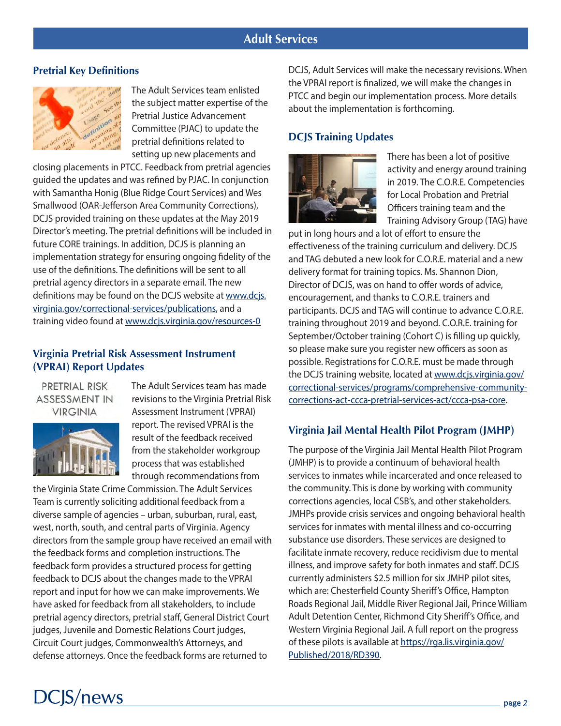## **Adult Services**

#### **Pretrial Key Definitions**



The Adult Services team enlisted the subject matter expertise of the Pretrial Justice Advancement Committee (PJAC) to update the pretrial definitions related to setting up new placements and

closing placements in PTCC. Feedback from pretrial agencies guided the updates and was refined by PJAC. In conjunction with Samantha Honig (Blue Ridge Court Services) and Wes Smallwood (OAR-Jefferson Area Community Corrections), DCJS provided training on these updates at the May 2019 Director's meeting. The pretrial definitions will be included in future CORE trainings. In addition, DCJS is planning an implementation strategy for ensuring ongoing fidelity of the use of the definitions. The definitions will be sent to all pretrial agency directors in a separate email. The new definitions may be found on the DCJS website at [www.dcjs.](http://www.dcjs.virginia.gov/correctional-services/publications) [virginia.gov/correctional-services/publications,](http://www.dcjs.virginia.gov/correctional-services/publications) and a training video found at www.dcjs.virginia.gov/resources-0

### **Virginia Pretrial Risk Assessment Instrument (VPRAI) Report Updates**

#### PRETRIAL RISK **ASSESSMENT IN VIRGINIA**



The Adult Services team has made revisions to the Virginia Pretrial Risk Assessment Instrument (VPRAI) report. The revised VPRAI is the result of the feedback received from the stakeholder workgroup process that was established through recommendations from

the Virginia State Crime Commission. The Adult Services Team is currently soliciting additional feedback from a diverse sample of agencies – urban, suburban, rural, east, west, north, south, and central parts of Virginia. Agency directors from the sample group have received an email with the feedback forms and completion instructions. The feedback form provides a structured process for getting feedback to DCJS about the changes made to the VPRAI report and input for how we can make improvements. We have asked for feedback from all stakeholders, to include pretrial agency directors, pretrial staff, General District Court judges, Juvenile and Domestic Relations Court judges, Circuit Court judges, Commonwealth's Attorneys, and defense attorneys. Once the feedback forms are returned to

DCJS, Adult Services will make the necessary revisions. When the VPRAI report is finalized, we will make the changes in PTCC and begin our implementation process. More details about the implementation is forthcoming.

### **DCJS Training Updates**



There has been a lot of positive activity and energy around training in 2019. The C.O.R.E. Competencies for Local Probation and Pretrial Officers training team and the Training Advisory Group (TAG) have

put in long hours and a lot of effort to ensure the effectiveness of the training curriculum and delivery. DCJS and TAG debuted a new look for C.O.R.E. material and a new delivery format for training topics. Ms. Shannon Dion, Director of DCJS, was on hand to offer words of advice, encouragement, and thanks to C.O.R.E. trainers and participants. DCJS and TAG will continue to advance C.O.R.E. training throughout 2019 and beyond. C.O.R.E. training for September/October training (Cohort C) is filling up quickly, so please make sure you register new officers as soon as possible. Registrations for C.O.R.E. must be made through the DCJS training website, located at [www.dcjs.virginia.gov/](http://www.dcjs.virginia.gov/correctional-services/programs/comprehensive-community-corrections-act-ccca-pretrial-services-act/ccca-psa-core) [correctional-services/programs/comprehensive-community](http://www.dcjs.virginia.gov/correctional-services/programs/comprehensive-community-corrections-act-ccca-pretrial-services-act/ccca-psa-core)[corrections-act-ccca-pretrial-services-act/ccca-psa-core.](http://www.dcjs.virginia.gov/correctional-services/programs/comprehensive-community-corrections-act-ccca-pretrial-services-act/ccca-psa-core)

### **Virginia Jail Mental Health Pilot Program (JMHP)**

The purpose of the Virginia Jail Mental Health Pilot Program (JMHP) is to provide a continuum of behavioral health services to inmates while incarcerated and once released to the community. This is done by working with community corrections agencies, local CSB's, and other stakeholders. JMHPs provide crisis services and ongoing behavioral health services for inmates with mental illness and co-occurring substance use disorders. These services are designed to facilitate inmate recovery, reduce recidivism due to mental illness, and improve safety for both inmates and staff. DCJS currently administers \$2.5 million for six JMHP pilot sites, which are: Chesterfield County Sheriff's Office, Hampton Roads Regional Jail, Middle River Regional Jail, Prince William Adult Detention Center, Richmond City Sheriff's Office, and Western Virginia Regional Jail. A full report on the progress of these pilots is available at [https://rga.lis.virginia.gov/](https://rga.lis.virginia.gov/Published/2018/RD390) [Published/2018/RD390](https://rga.lis.virginia.gov/Published/2018/RD390).

# **DCJS/news**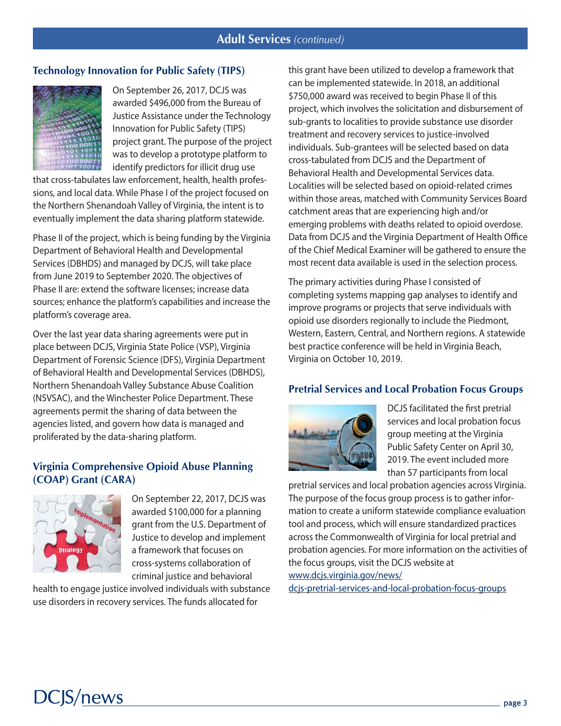### **Technology Innovation for Public Safety (TIPS)**



On September 26, 2017, DCJS was awarded \$496,000 from the Bureau of Justice Assistance under the Technology Innovation for Public Safety (TIPS) project grant. The purpose of the project was to develop a prototype platform to identify predictors for illicit drug use

that cross-tabulates law enforcement, health, health professions, and local data. While Phase I of the project focused on the Northern Shenandoah Valley of Virginia, the intent is to eventually implement the data sharing platform statewide.

Phase II of the project, which is being funding by the Virginia Department of Behavioral Health and Developmental Services (DBHDS) and managed by DCJS, will take place from June 2019 to September 2020. The objectives of Phase II are: extend the software licenses; increase data sources; enhance the platform's capabilities and increase the platform's coverage area.

Over the last year data sharing agreements were put in place between DCJS, Virginia State Police (VSP), Virginia Department of Forensic Science (DFS), Virginia Department of Behavioral Health and Developmental Services (DBHDS), Northern Shenandoah Valley Substance Abuse Coalition (NSVSAC), and the Winchester Police Department. These agreements permit the sharing of data between the agencies listed, and govern how data is managed and proliferated by the data-sharing platform.

### **Virginia Comprehensive Opioid Abuse Planning (COAP) Grant (CARA)**



On September 22, 2017, DCJS was awarded \$100,000 for a planning grant from the U.S. Department of Justice to develop and implement a framework that focuses on cross-systems collaboration of criminal justice and behavioral

health to engage justice involved individuals with substance use disorders in recovery services. The funds allocated for

this grant have been utilized to develop a framework that can be implemented statewide. In 2018, an additional \$750,000 award was received to begin Phase II of this project, which involves the solicitation and disbursement of sub-grants to localities to provide substance use disorder treatment and recovery services to justice-involved individuals. Sub-grantees will be selected based on data cross-tabulated from DCJS and the Department of Behavioral Health and Developmental Services data. Localities will be selected based on opioid-related crimes within those areas, matched with Community Services Board catchment areas that are experiencing high and/or emerging problems with deaths related to opioid overdose. Data from DCJS and the Virginia Department of Health Office of the Chief Medical Examiner will be gathered to ensure the most recent data available is used in the selection process.

The primary activities during Phase I consisted of completing systems mapping gap analyses to identify and improve programs or projects that serve individuals with opioid use disorders regionally to include the Piedmont, Western, Eastern, Central, and Northern regions. A statewide best practice conference will be held in Virginia Beach, Virginia on October 10, 2019.

#### **Pretrial Services and Local Probation Focus Groups**



DCJS facilitated the first pretrial services and local probation focus group meeting at the Virginia Public Safety Center on April 30, 2019. The event included more than 57 participants from local

pretrial services and local probation agencies across Virginia. The purpose of the focus group process is to gather information to create a uniform statewide compliance evaluation tool and process, which will ensure standardized practices across the Commonwealth of Virginia for local pretrial and probation agencies. For more information on the activities of the focus groups, visit the DCJS website at

[www.dcjs.virginia.gov/news/](http://www.dcjs.virginia.gov/news/dcjs-pretrial-services-and-local-probation-focus-groups)

[dcjs-pretrial-services-and-local-probation-focus-groups](http://www.dcjs.virginia.gov/news/dcjs-pretrial-services-and-local-probation-focus-groups)

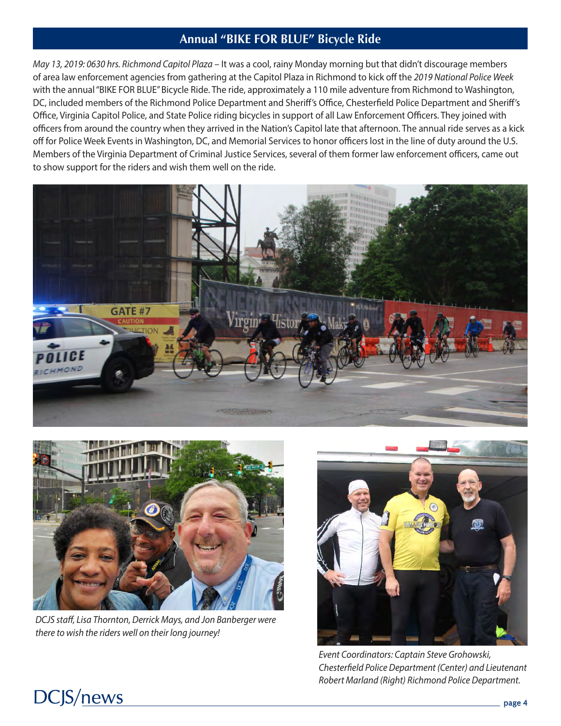## **Annual "BIKE FOR BLUE" Bicycle Ride**

*May 13, 2019: 0630 hrs. Richmond Capitol Plaza* – It was a cool, rainy Monday morning but that didn't discourage members of area law enforcement agencies from gathering at the Capitol Plaza in Richmond to kick off the *2019 National Police Week* with the annual "BIKE FOR BLUE" Bicycle Ride. The ride, approximately a 110 mile adventure from Richmond to Washington, DC, included members of the Richmond Police Department and Sheriff's Office, Chesterfield Police Department and Sheriff's Office, Virginia Capitol Police, and State Police riding bicycles in support of all Law Enforcement Officers. They joined with officers from around the country when they arrived in the Nation's Capitol late that afternoon. The annual ride serves as a kick off for Police Week Events in Washington, DC, and Memorial Services to honor officers lost in the line of duty around the U.S. Members of the Virginia Department of Criminal Justice Services, several of them former law enforcement officers, came out to show support for the riders and wish them well on the ride.





*DCJS staff, Lisa Thornton, Derrick Mays, and Jon Banberger were there to wish the riders well on their long journey!*



*Event Coordinators: Captain Steve Grohowski, Chesterfield Police Department (Center) and Lieutenant Robert Marland (Right) Richmond Police Department.* 

# **DCJS/news**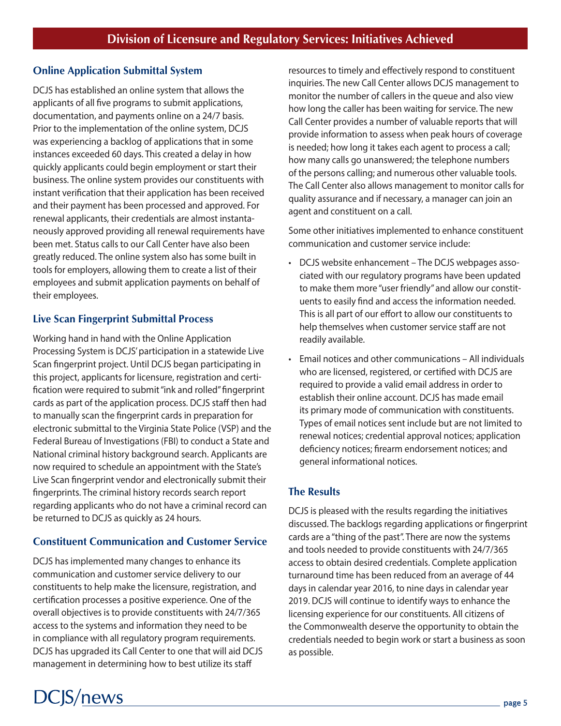## **Online Application Submittal System**

DCJS has established an online system that allows the applicants of all five programs to submit applications, documentation, and payments online on a 24/7 basis. Prior to the implementation of the online system, DCJS was experiencing a backlog of applications that in some instances exceeded 60 days. This created a delay in how quickly applicants could begin employment or start their business. The online system provides our constituents with instant verification that their application has been received and their payment has been processed and approved. For renewal applicants, their credentials are almost instantaneously approved providing all renewal requirements have been met. Status calls to our Call Center have also been greatly reduced. The online system also has some built in tools for employers, allowing them to create a list of their employees and submit application payments on behalf of their employees.

## **Live Scan Fingerprint Submittal Process**

Working hand in hand with the Online Application Processing System is DCJS' participation in a statewide Live Scan fingerprint project. Until DCJS began participating in this project, applicants for licensure, registration and certification were required to submit "ink and rolled" fingerprint cards as part of the application process. DCJS staff then had to manually scan the fingerprint cards in preparation for electronic submittal to the Virginia State Police (VSP) and the Federal Bureau of Investigations (FBI) to conduct a State and National criminal history background search. Applicants are now required to schedule an appointment with the State's Live Scan fingerprint vendor and electronically submit their fingerprints. The criminal history records search report regarding applicants who do not have a criminal record can be returned to DCJS as quickly as 24 hours.

## **Constituent Communication and Customer Service**

DCJS has implemented many changes to enhance its communication and customer service delivery to our constituents to help make the licensure, registration, and certification processes a positive experience. One of the overall objectives is to provide constituents with 24/7/365 access to the systems and information they need to be in compliance with all regulatory program requirements. DCJS has upgraded its Call Center to one that will aid DCJS management in determining how to best utilize its staff

**DCJS/news** 

resources to timely and effectively respond to constituent inquiries. The new Call Center allows DCJS management to monitor the number of callers in the queue and also view how long the caller has been waiting for service. The new Call Center provides a number of valuable reports that will provide information to assess when peak hours of coverage is needed; how long it takes each agent to process a call; how many calls go unanswered; the telephone numbers of the persons calling; and numerous other valuable tools. The Call Center also allows management to monitor calls for quality assurance and if necessary, a manager can join an agent and constituent on a call.

Some other initiatives implemented to enhance constituent communication and customer service include:

- DCJS website enhancement The DCJS webpages associated with our regulatory programs have been updated to make them more "user friendly" and allow our constituents to easily find and access the information needed. This is all part of our effort to allow our constituents to help themselves when customer service staff are not readily available.
- Email notices and other communications All individuals who are licensed, registered, or certified with DCJS are required to provide a valid email address in order to establish their online account. DCJS has made email its primary mode of communication with constituents. Types of email notices sent include but are not limited to renewal notices; credential approval notices; application deficiency notices; firearm endorsement notices; and general informational notices.

## **The Results**

DCJS is pleased with the results regarding the initiatives discussed. The backlogs regarding applications or fingerprint cards are a "thing of the past". There are now the systems and tools needed to provide constituents with 24/7/365 access to obtain desired credentials. Complete application turnaround time has been reduced from an average of 44 days in calendar year 2016, to nine days in calendar year 2019. DCJS will continue to identify ways to enhance the licensing experience for our constituents. All citizens of the Commonwealth deserve the opportunity to obtain the credentials needed to begin work or start a business as soon as possible.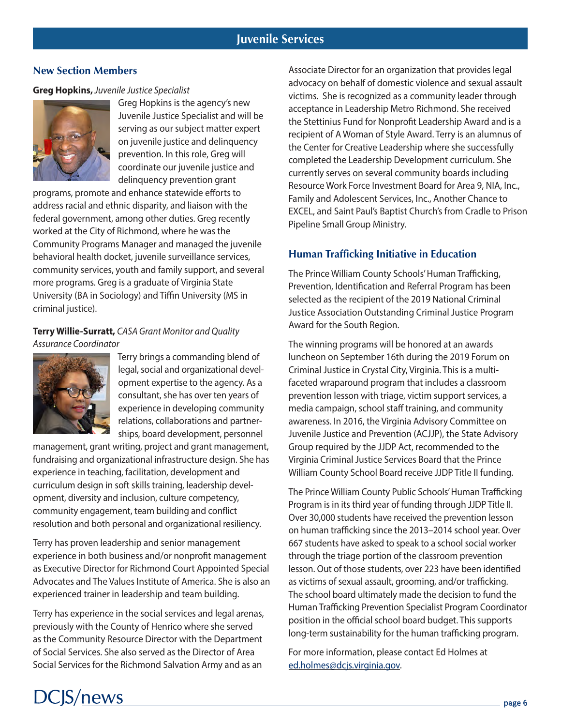### **New Section Members**

#### **Greg Hopkins,** *Juvenile Justice Specialist*



Greg Hopkins is the agency's new Juvenile Justice Specialist and will be serving as our subject matter expert on juvenile justice and delinquency prevention. In this role, Greg will coordinate our juvenile justice and delinquency prevention grant

programs, promote and enhance statewide efforts to address racial and ethnic disparity, and liaison with the federal government, among other duties. Greg recently worked at the City of Richmond, where he was the Community Programs Manager and managed the juvenile behavioral health docket, juvenile surveillance services, community services, youth and family support, and several more programs. Greg is a graduate of Virginia State University (BA in Sociology) and Tiffin University (MS in criminal justice).

### **Terry Willie-Surratt,** *CASA Grant Monitor and Quality Assurance Coordinator*



**DCJS/news** 

Terry brings a commanding blend of legal, social and organizational development expertise to the agency. As a consultant, she has over ten years of experience in developing community relations, collaborations and partnerships, board development, personnel

management, grant writing, project and grant management, fundraising and organizational infrastructure design. She has experience in teaching, facilitation, development and curriculum design in soft skills training, leadership development, diversity and inclusion, culture competency, community engagement, team building and conflict resolution and both personal and organizational resiliency.

Terry has proven leadership and senior management experience in both business and/or nonprofit management as Executive Director for Richmond Court Appointed Special Advocates and The Values Institute of America. She is also an experienced trainer in leadership and team building.

Terry has experience in the social services and legal arenas, previously with the County of Henrico where she served as the Community Resource Director with the Department of Social Services. She also served as the Director of Area Social Services for the Richmond Salvation Army and as an

Associate Director for an organization that provides legal advocacy on behalf of domestic violence and sexual assault victims. She is recognized as a community leader through acceptance in Leadership Metro Richmond. She received the Stettinius Fund for Nonprofit Leadership Award and is a recipient of A Woman of Style Award. Terry is an alumnus of the Center for Creative Leadership where she successfully completed the Leadership Development curriculum. She currently serves on several community boards including Resource Work Force Investment Board for Area 9, NIA, Inc., Family and Adolescent Services, Inc., Another Chance to EXCEL, and Saint Paul's Baptist Church's from Cradle to Prison Pipeline Small Group Ministry.

## **Human Trafficking Initiative in Education**

The Prince William County Schools' Human Trafficking, Prevention, Identification and Referral Program has been selected as the recipient of the 2019 National Criminal Justice Association Outstanding Criminal Justice Program Award for the South Region.

The winning programs will be honored at an awards luncheon on September 16th during the 2019 Forum on Criminal Justice in Crystal City, Virginia. This is a multifaceted wraparound program that includes a classroom prevention lesson with triage, victim support services, a media campaign, school staff training, and community awareness. In 2016, the Virginia Advisory Committee on Juvenile Justice and Prevention (ACJJP), the State Advisory Group required by the JJDP Act, recommended to the Virginia Criminal Justice Services Board that the Prince William County School Board receive JJDP Title II funding.

The Prince William County Public Schools' Human Trafficking Program is in its third year of funding through JJDP Title II. Over 30,000 students have received the prevention lesson on human trafficking since the 2013–2014 school year. Over 667 students have asked to speak to a school social worker through the triage portion of the classroom prevention lesson. Out of those students, over 223 have been identified as victims of sexual assault, grooming, and/or trafficking. The school board ultimately made the decision to fund the Human Trafficking Prevention Specialist Program Coordinator position in the official school board budget. This supports long-term sustainability for the human trafficking program.

For more information, please contact Ed Holmes at [ed.holmes@dcjs.virginia.gov.](mailto:ed.holmes%40dcjs.virginia.gov?subject=)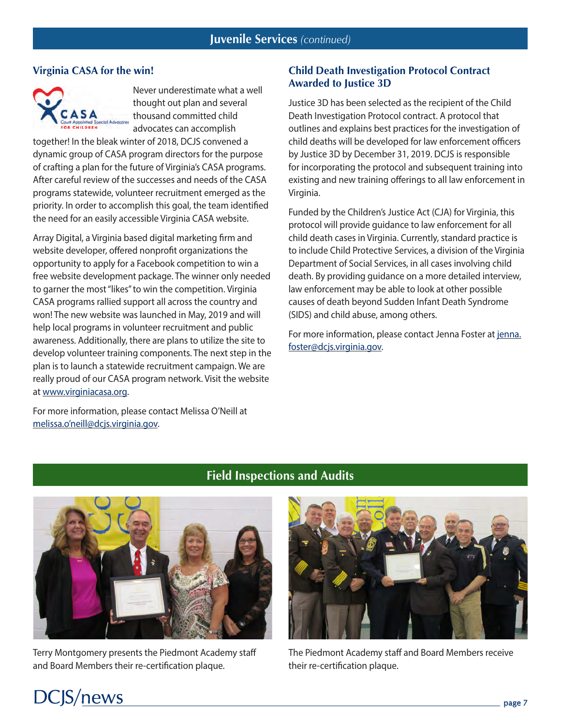#### **Virginia CASA for the win!**



Never underestimate what a well thought out plan and several thousand committed child advocates can accomplish

together! In the bleak winter of 2018, DCJS convened a dynamic group of CASA program directors for the purpose of crafting a plan for the future of Virginia's CASA programs. After careful review of the successes and needs of the CASA programs statewide, volunteer recruitment emerged as the priority. In order to accomplish this goal, the team identified the need for an easily accessible Virginia CASA website.

Array Digital, a Virginia based digital marketing firm and website developer, offered nonprofit organizations the opportunity to apply for a Facebook competition to win a free website development package. The winner only needed to garner the most "likes" to win the competition. Virginia CASA programs rallied support all across the country and won! The new website was launched in May, 2019 and will help local programs in volunteer recruitment and public awareness. Additionally, there are plans to utilize the site to develop volunteer training components. The next step in the plan is to launch a statewide recruitment campaign. We are really proud of our CASA program network. Visit the website at [www.virginiacasa.org.](http://www.virginiacasa.org)

For more information, please contact Melissa O'Neill at [melissa.o'neill@dcjs.virginia.gov](mailto:melissa.o%E2%80%99neill%40dcjs.virginia.gov?subject=).

#### **Child Death Investigation Protocol Contract Awarded to Justice 3D**

Justice 3D has been selected as the recipient of the Child Death Investigation Protocol contract. A protocol that outlines and explains best practices for the investigation of child deaths will be developed for law enforcement officers by Justice 3D by December 31, 2019. DCJS is responsible for incorporating the protocol and subsequent training into existing and new training offerings to all law enforcement in Virginia.

Funded by the Children's Justice Act (CJA) for Virginia, this protocol will provide guidance to law enforcement for all child death cases in Virginia. Currently, standard practice is to include Child Protective Services, a division of the Virginia Department of Social Services, in all cases involving child death. By providing guidance on a more detailed interview, law enforcement may be able to look at other possible causes of death beyond Sudden Infant Death Syndrome (SIDS) and child abuse, among others.

For more information, please contact Jenna Foster at [jenna.](mailto:jenna.foster%40dcjs.virginia.gov?subject=) [foster@dcjs.virginia.gov](mailto:jenna.foster%40dcjs.virginia.gov?subject=).

# **Field Inspections and Audits**



Terry Montgomery presents the Piedmont Academy staff and Board Members their re-certification plaque.



The Piedmont Academy staff and Board Members receive their re-certification plaque.

# $DC|S/news$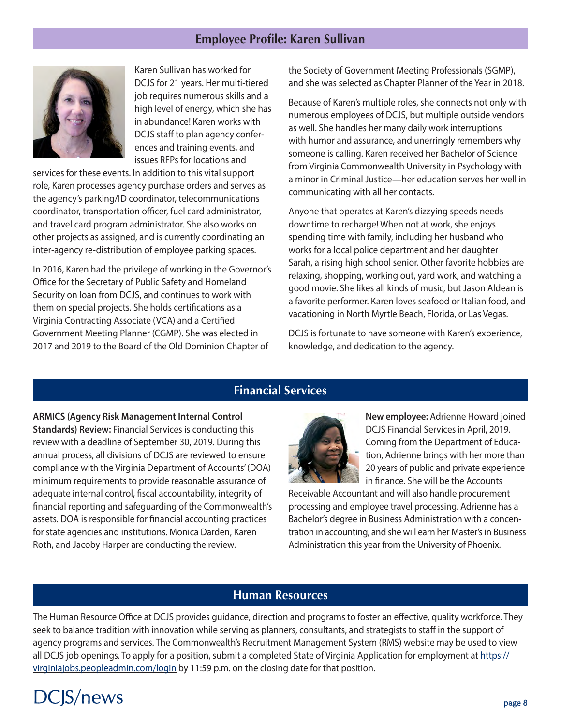## **Employee Profile: Karen Sullivan**



Karen Sullivan has worked for DCJS for 21 years. Her multi-tiered job requires numerous skills and a high level of energy, which she has in abundance! Karen works with DCJS staff to plan agency conferences and training events, and issues RFPs for locations and

services for these events. In addition to this vital support role, Karen processes agency purchase orders and serves as the agency's parking/ID coordinator, telecommunications coordinator, transportation officer, fuel card administrator, and travel card program administrator. She also works on other projects as assigned, and is currently coordinating an inter-agency re-distribution of employee parking spaces.

In 2016, Karen had the privilege of working in the Governor's Office for the Secretary of Public Safety and Homeland Security on loan from DCJS, and continues to work with them on special projects. She holds certifications as a Virginia Contracting Associate (VCA) and a Certified Government Meeting Planner (CGMP). She was elected in 2017 and 2019 to the Board of the Old Dominion Chapter of

the Society of Government Meeting Professionals (SGMP), and she was selected as Chapter Planner of the Year in 2018.

Because of Karen's multiple roles, she connects not only with numerous employees of DCJS, but multiple outside vendors as well. She handles her many daily work interruptions with humor and assurance, and unerringly remembers why someone is calling. Karen received her Bachelor of Science from Virginia Commonwealth University in Psychology with a minor in Criminal Justice—her education serves her well in communicating with all her contacts.

Anyone that operates at Karen's dizzying speeds needs downtime to recharge! When not at work, she enjoys spending time with family, including her husband who works for a local police department and her daughter Sarah, a rising high school senior. Other favorite hobbies are relaxing, shopping, working out, yard work, and watching a good movie. She likes all kinds of music, but Jason Aldean is a favorite performer. Karen loves seafood or Italian food, and vacationing in North Myrtle Beach, Florida, or Las Vegas.

DCJS is fortunate to have someone with Karen's experience, knowledge, and dedication to the agency.

## **Financial Services**

**ARMICS (Agency Risk Management Internal Control Standards) Review:** Financial Services is conducting this review with a deadline of September 30, 2019. During this annual process, all divisions of DCJS are reviewed to ensure compliance with the Virginia Department of Accounts' (DOA) minimum requirements to provide reasonable assurance of adequate internal control, fiscal accountability, integrity of financial reporting and safeguarding of the Commonwealth's assets. DOA is responsible for financial accounting practices for state agencies and institutions. Monica Darden, Karen Roth, and Jacoby Harper are conducting the review.



**New employee:** Adrienne Howard joined DCJS Financial Services in April, 2019. Coming from the Department of Education, Adrienne brings with her more than 20 years of public and private experience in finance. She will be the Accounts

Receivable Accountant and will also handle procurement processing and employee travel processing. Adrienne has a Bachelor's degree in Business Administration with a concentration in accounting, and she will earn her Master's in Business Administration this year from the University of Phoenix.

### **Human Resources**

The Human Resource Office at DCJS provides guidance, direction and programs to foster an effective, quality workforce. They seek to balance tradition with innovation while serving as planners, consultants, and strategists to staff in the support of agency programs and services. The Commonwealth's Recruitment Management System ([RMS\)](https://virginiajobs.peopleadmin.com/postings/search?utf8=%E2%9C%93&query=&query_v0_posted_at_date=&624=&628=&698=&693=46&625=&626=&627=&696=&commit=Search) website may be used to view all DCJS job openings. To apply for a position, submit a completed State of Virginia Application for employment at [https://](https://virginiajobs.peopleadmin.com/login) [virginiajobs.peopleadmin.com/login](https://virginiajobs.peopleadmin.com/login) by 11:59 p.m. on the closing date for that position.

# CJS/news